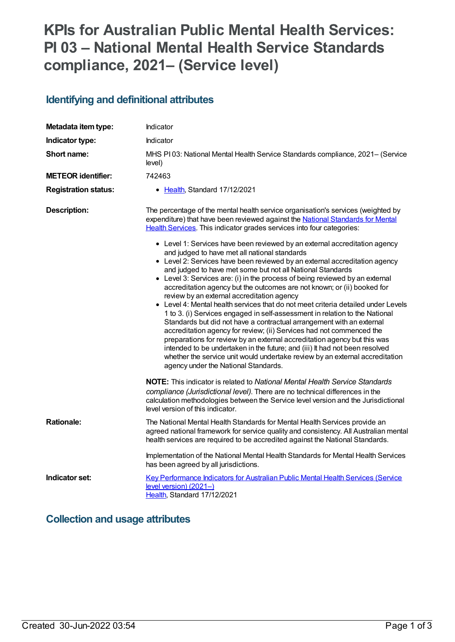# **KPIs for Australian Public Mental Health Services: PI 03 – National Mental Health Service Standards compliance, 2021– (Service level)**

# **Identifying and definitional attributes**

| Metadata item type:         | Indicator                                                                                                                                                                                                                                                                                                                                                                                                                                                                                                                                                                                                                                                                                                                                                                                                                                                                                                                                                                                                                                                                                                                                                                                                                                                                                       |
|-----------------------------|-------------------------------------------------------------------------------------------------------------------------------------------------------------------------------------------------------------------------------------------------------------------------------------------------------------------------------------------------------------------------------------------------------------------------------------------------------------------------------------------------------------------------------------------------------------------------------------------------------------------------------------------------------------------------------------------------------------------------------------------------------------------------------------------------------------------------------------------------------------------------------------------------------------------------------------------------------------------------------------------------------------------------------------------------------------------------------------------------------------------------------------------------------------------------------------------------------------------------------------------------------------------------------------------------|
| Indicator type:             | Indicator                                                                                                                                                                                                                                                                                                                                                                                                                                                                                                                                                                                                                                                                                                                                                                                                                                                                                                                                                                                                                                                                                                                                                                                                                                                                                       |
| Short name:                 | MHS PI03: National Mental Health Service Standards compliance, 2021– (Service<br>level)                                                                                                                                                                                                                                                                                                                                                                                                                                                                                                                                                                                                                                                                                                                                                                                                                                                                                                                                                                                                                                                                                                                                                                                                         |
| <b>METEOR identifier:</b>   | 742463                                                                                                                                                                                                                                                                                                                                                                                                                                                                                                                                                                                                                                                                                                                                                                                                                                                                                                                                                                                                                                                                                                                                                                                                                                                                                          |
| <b>Registration status:</b> | • Health, Standard 17/12/2021                                                                                                                                                                                                                                                                                                                                                                                                                                                                                                                                                                                                                                                                                                                                                                                                                                                                                                                                                                                                                                                                                                                                                                                                                                                                   |
| <b>Description:</b>         | The percentage of the mental health service organisation's services (weighted by<br>expenditure) that have been reviewed against the National Standards for Mental<br>Health Services. This indicator grades services into four categories:<br>• Level 1: Services have been reviewed by an external accreditation agency<br>and judged to have met all national standards<br>• Level 2: Services have been reviewed by an external accreditation agency<br>and judged to have met some but not all National Standards<br>• Level 3: Services are: (i) in the process of being reviewed by an external<br>accreditation agency but the outcomes are not known; or (ii) booked for<br>review by an external accreditation agency<br>• Level 4: Mental health services that do not meet criteria detailed under Levels<br>1 to 3. (i) Services engaged in self-assessment in relation to the National<br>Standards but did not have a contractual arrangement with an external<br>accreditation agency for review; (ii) Services had not commenced the<br>preparations for review by an external accreditation agency but this was<br>intended to be undertaken in the future; and (iii) It had not been resolved<br>whether the service unit would undertake review by an external accreditation |
|                             | agency under the National Standards.<br><b>NOTE:</b> This indicator is related to National Mental Health Service Standards<br>compliance (Jurisdictional level). There are no technical differences in the<br>calculation methodologies between the Service level version and the Jurisdictional<br>level version of this indicator.                                                                                                                                                                                                                                                                                                                                                                                                                                                                                                                                                                                                                                                                                                                                                                                                                                                                                                                                                            |
| <b>Rationale:</b>           | The National Mental Health Standards for Mental Health Services provide an<br>agreed national framework for service quality and consistency. All Australian mental<br>health services are required to be accredited against the National Standards.                                                                                                                                                                                                                                                                                                                                                                                                                                                                                                                                                                                                                                                                                                                                                                                                                                                                                                                                                                                                                                             |
|                             | Implementation of the National Mental Health Standards for Mental Health Services<br>has been agreed by all jurisdictions.                                                                                                                                                                                                                                                                                                                                                                                                                                                                                                                                                                                                                                                                                                                                                                                                                                                                                                                                                                                                                                                                                                                                                                      |
| Indicator set:              | Key Performance Indicators for Australian Public Mental Health Services (Service<br>level version) (2021-)<br>Health, Standard 17/12/2021                                                                                                                                                                                                                                                                                                                                                                                                                                                                                                                                                                                                                                                                                                                                                                                                                                                                                                                                                                                                                                                                                                                                                       |

### **Collection and usage attributes**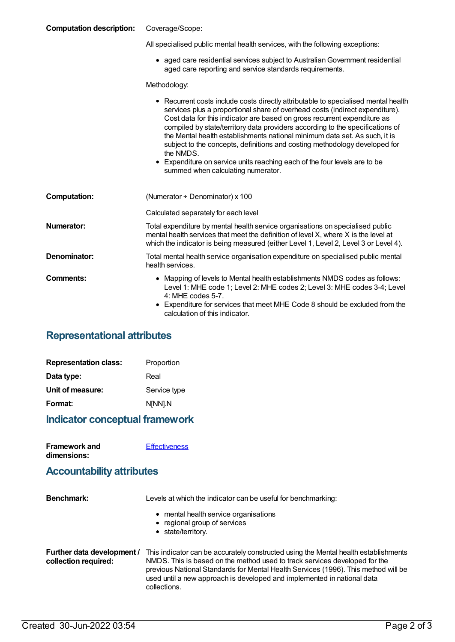#### **Computation description:** Coverage/Scope:

| All specialised public mental health services, with the following exceptions: |  |
|-------------------------------------------------------------------------------|--|

aged care residential services subject to AustralianGovernment residential aged care reporting and service standards requirements.

Methodology:

|                     | • Recurrent costs include costs directly attributable to specialised mental health<br>services plus a proportional share of overhead costs (indirect expenditure).<br>Cost data for this indicator are based on gross recurrent expenditure as<br>compiled by state/territory data providers according to the specifications of<br>the Mental health establishments national minimum data set. As such, it is<br>subject to the concepts, definitions and costing methodology developed for<br>the NMDS.<br>• Expenditure on service units reaching each of the four levels are to be<br>summed when calculating numerator. |
|---------------------|-----------------------------------------------------------------------------------------------------------------------------------------------------------------------------------------------------------------------------------------------------------------------------------------------------------------------------------------------------------------------------------------------------------------------------------------------------------------------------------------------------------------------------------------------------------------------------------------------------------------------------|
| <b>Computation:</b> | (Numerator $\div$ Denominator) x 100                                                                                                                                                                                                                                                                                                                                                                                                                                                                                                                                                                                        |
|                     | Calculated separately for each level                                                                                                                                                                                                                                                                                                                                                                                                                                                                                                                                                                                        |
| <b>Numerator:</b>   | Total expenditure by mental health service organisations on specialised public<br>mental health services that meet the definition of level X, where X is the level at<br>which the indicator is being measured (either Level 1, Level 2, Level 3 or Level 4).                                                                                                                                                                                                                                                                                                                                                               |
| Denominator:        | Total mental health service organisation expenditure on specialised public mental<br>health services.                                                                                                                                                                                                                                                                                                                                                                                                                                                                                                                       |
| Comments:           | • Mapping of levels to Mental health establishments NMDS codes as follows:<br>Level 1: MHE code 1; Level 2: MHE codes 2; Level 3: MHE codes 3-4; Level<br>$4:$ MHE codes 5-7.<br>Expenditure for services that meet MHE Code 8 should be excluded from the<br>calculation of this indicator.                                                                                                                                                                                                                                                                                                                                |

### **Representational attributes**

| <b>Representation class:</b> | Proportion   |
|------------------------------|--------------|
| Data type:                   | Real         |
| Unit of measure:             | Service type |
| Format:                      | N[NN].N      |

#### **Indicator conceptual framework**

| <b>Framework and</b> | <b>Effectiveness</b> |
|----------------------|----------------------|
| dimensions:          |                      |

#### **Accountability attributes**

| <b>Benchmark:</b>                                  | Levels at which the indicator can be useful for benchmarking:                                                                                                                                                                                                                                                                                      |
|----------------------------------------------------|----------------------------------------------------------------------------------------------------------------------------------------------------------------------------------------------------------------------------------------------------------------------------------------------------------------------------------------------------|
|                                                    | • mental health service organisations<br>• regional group of services<br>• state/territory.                                                                                                                                                                                                                                                        |
| Further data development /<br>collection required: | This indicator can be accurately constructed using the Mental health establishments<br>NMDS. This is based on the method used to track services developed for the<br>previous National Standards for Mental Health Services (1996). This method will be<br>used until a new approach is developed and implemented in national data<br>collections. |